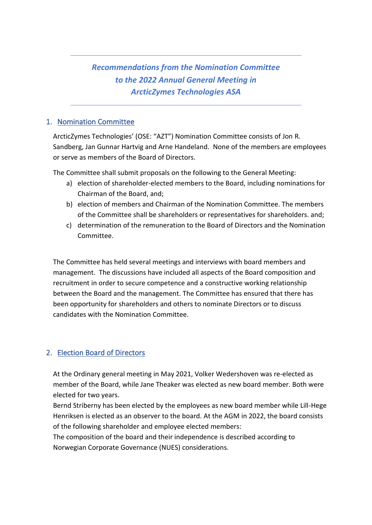# *Recommendations from the Nomination Committee to the 2022 Annual General Meeting in ArcticZymes Technologies ASA*

#### 1. Nomination Committee

ArcticZymes Technologies' (OSE: "AZT") Nomination Committee consists of Jon R. Sandberg, Jan Gunnar Hartvig and Arne Handeland. None of the members are employees or serve as members of the Board of Directors.

The Committee shall submit proposals on the following to the General Meeting:

- a) election of shareholder-elected members to the Board, including nominations for Chairman of the Board, and;
- b) election of members and Chairman of the Nomination Committee. The members of the Committee shall be shareholders or representatives for shareholders. and;
- c) determination of the remuneration to the Board of Directors and the Nomination Committee.

The Committee has held several meetings and interviews with board members and management. The discussions have included all aspects of the Board composition and recruitment in order to secure competence and a constructive working relationship between the Board and the management. The Committee has ensured that there has been opportunity for shareholders and others to nominate Directors or to discuss candidates with the Nomination Committee.

## 2. Election Board of Directors

At the Ordinary general meeting in May 2021, Volker Wedershoven was re-elected as member of the Board, while Jane Theaker was elected as new board member. Both were elected for two years.

Bernd Striberny has been elected by the employees as new board member while Lill-Hege Henriksen is elected as an observer to the board. At the AGM in 2022, the board consists of the following shareholder and employee elected members:

The composition of the board and their independence is described according to Norwegian Corporate Governance (NUES) considerations.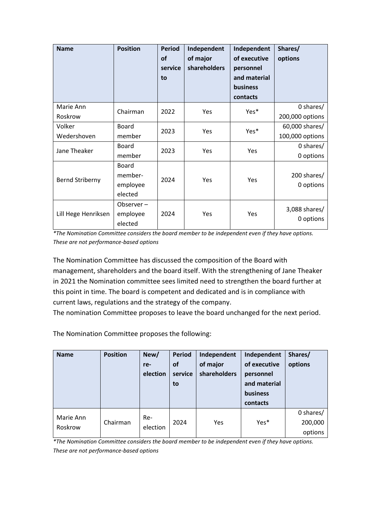| <b>Name</b>           | <b>Position</b>                         | <b>Period</b><br><b>of</b><br>service<br>to | Independent<br>of major<br>shareholders | Independent<br>of executive<br>personnel<br>and material<br>business<br>contacts | Shares/<br>options                |
|-----------------------|-----------------------------------------|---------------------------------------------|-----------------------------------------|----------------------------------------------------------------------------------|-----------------------------------|
| Marie Ann<br>Roskrow  | Chairman                                | 2022                                        | Yes                                     | Yes*                                                                             | 0 shares/<br>200,000 options      |
| Volker<br>Wedershoven | Board<br>member                         | 2023                                        | Yes                                     | Yes*                                                                             | 60,000 shares/<br>100,000 options |
| Jane Theaker          | Board<br>member                         | 2023                                        | Yes                                     | Yes                                                                              | 0 shares/<br>0 options            |
| Bernd Striberny       | Board<br>member-<br>employee<br>elected | 2024                                        | Yes                                     | Yes                                                                              | 200 shares/<br>0 options          |
| Lill Hege Henriksen   | Observer-<br>employee<br>elected        | 2024                                        | Yes                                     | Yes                                                                              | 3,088 shares/<br>0 options        |

*\*The Nomination Committee considers the board member to be independent even if they have options. These are not performance-based options*

The Nomination Committee has discussed the composition of the Board with management, shareholders and the board itself. With the strengthening of Jane Theaker in 2021 the Nomination committee sees limited need to strengthen the board further at this point in time. The board is competent and dedicated and is in compliance with current laws, regulations and the strategy of the company.

The nomination Committee proposes to leave the board unchanged for the next period.

The Nomination Committee proposes the following:

| <b>Name</b>          | <b>Position</b> | New/<br>re-<br>election | <b>Period</b><br>οf<br>service<br>to | Independent<br>of major<br>shareholders | Independent<br>of executive<br>personnel<br>and material<br>business<br>contacts | Shares/<br>options              |
|----------------------|-----------------|-------------------------|--------------------------------------|-----------------------------------------|----------------------------------------------------------------------------------|---------------------------------|
| Marie Ann<br>Roskrow | Chairman        | Re-<br>election         | 2024                                 | Yes                                     | Yes*                                                                             | 0 shares/<br>200,000<br>options |

*\*The Nomination Committee considers the board member to be independent even if they have options. These are not performance-based options*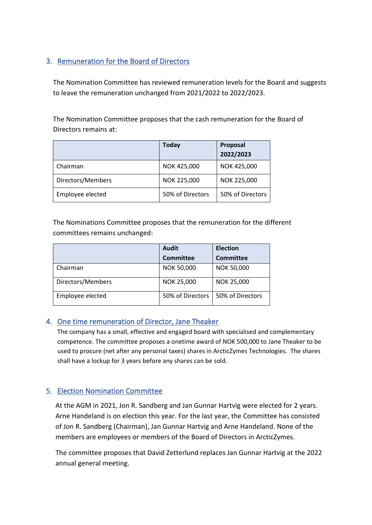# 3. Remuneration for the Board of Directors

The Nomination Committee has reviewed remuneration levels for the Board and suggests to leave the remuneration unchanged from 2021/2022 to 2022/2023.

The Nomination Committee proposes that the cash remuneration for the Board of Directors remains at:

|                   | <b>Today</b>     | Proposal<br>2022/2023 |
|-------------------|------------------|-----------------------|
| Chairman          | NOK 425,000      | NOK 425,000           |
| Directors/Members | NOK 225,000      | NOK 225,000           |
| Employee elected  | 50% of Directors | 50% of Directors      |

The Nominations Committee proposes that the remuneration for the different committees remains unchanged:

|                   | <b>Audit</b>      | <b>Election</b>   |  |
|-------------------|-------------------|-------------------|--|
|                   | <b>Committee</b>  | <b>Committee</b>  |  |
| Chairman          | <b>NOK 50,000</b> | <b>NOK 50,000</b> |  |
| Directors/Members | NOK 25,000        | NOK 25,000        |  |
| Employee elected  | 50% of Directors  | 50% of Directors  |  |

## 4. One time remuneration of Director, Jane Theaker

The company has a small, effective and engaged board with specialised and complementary competence. The committee proposes a onetime award of NOK 500,000 to Jane Theaker to be used to procure (net after any personal taxes) shares in ArcticZymes Technologies. The shares shall have a lockup for 3 years before any shares can be sold.

## 5. Election Nomination Committee

At the AGM in 2021, Jon R. Sandberg and Jan Gunnar Hartvig were elected for 2 years. Arne Handeland is on election this year. For the last year, the Committee has consisted of Jon R. Sandberg (Chairman), Jan Gunnar Hartvig and Arne Handeland. None of the members are employees or members of the Board of Directors in ArcticZymes.

The committee proposes that David Zetterlund replaces Jan Gunnar Hartvig at the 2022 annual general meeting.